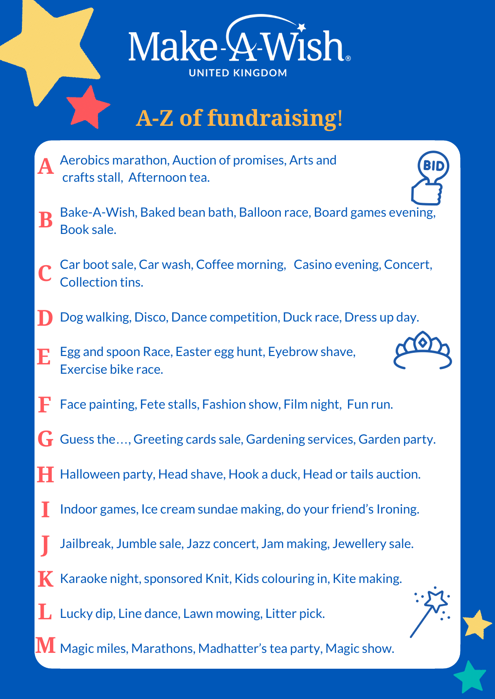

## **A-Z of fundraising**!

- Aerobics marathon, Auction of promises, Arts and crafts stall, Afternoon tea. **A**
- Bake-A-Wish, Baked bean bath, Balloon race, Board games evening, Book sale. **B**
- Car boot sale, Car wash, Coffee morning, Casino evening, Concert, Collection tins. **C**
- Dog walking, Disco, Dance competition, Duck race, Dress up day. **D**
- Egg and spoon Race, Easter egg hunt, Eyebrow shave, Exercise bike race. **E**



- Face painting, Fete stalls, Fashion show, Film night, Fun run. **F**
- Guess the…, Greeting cards sale, Gardening services, Garden party. **G**
- Halloween party, Head shave, Hook a duck, Head or tails auction. **H**
- Indoor games, Ice cream sundae making, do your friend's Ironing. **I**
- Jailbreak, Jumble sale, Jazz concert, Jam making, Jewellery sale. **J**
- $\boldsymbol{K}$  Karaoke night, sponsored Knit, Kids colouring in, Kite making.
- $\mathbf{L}$  Lucky dip, Line dance, Lawn mowing, Litter pick.
- $\bf{M}$  Magic miles, Marathons, Madhatter's tea party, Magic show.